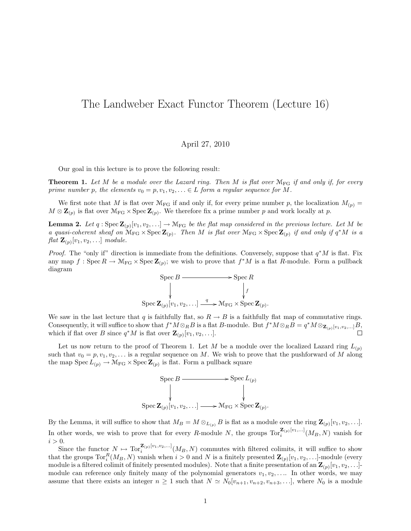## The Landweber Exact Functor Theorem (Lecture 16)

## April 27, 2010

Our goal in this lecture is to prove the following result:

**Theorem 1.** Let M be a module over the Lazard ring. Then M is flat over  $M_{FG}$  if and only if, for every prime number p, the elements  $v_0 = p, v_1, v_2, \ldots \in L$  form a regular sequence for M.

We first note that M is flat over  $\mathcal{M}_{FG}$  if and only if, for every prime number p, the localization  $M_{(p)} =$  $M \otimes \mathbb{Z}_{(p)}$  is flat over  $\mathcal{M}_{FG} \times \operatorname{Spec} \mathbb{Z}_{(p)}$ . We therefore fix a prime number p and work locally at p.

**Lemma 2.** Let  $q: \text{Spec } \mathbf{Z}_{(p)}[v_1, v_2, \ldots] \to \mathcal{M}_{FG}$  be the flat map considered in the previous lecture. Let M be a quasi-coherent sheaf on  $\mathcal{M}_{FG} \times \text{Spec } \mathbf{Z}_{(p)}$ . Then M is flat over  $\mathcal{M}_{FG} \times \text{Spec } \mathbf{Z}_{(p)}$  if and only if  $q^*M$  is a  $\operatorname{flat} \mathbf{Z}_{(p)}[v_1, v_2, \ldots]$  module.

*Proof.* The "only if" direction is immediate from the definitions. Conversely, suppose that  $q^*M$  is flat. Fix any map  $f : \text{Spec } R \to \mathcal{M}_{FG} \times \text{Spec } \mathbb{Z}_{(p)}$ ; we wish to prove that  $f^*M$  is a flat R-module. Form a pullback diagram



We saw in the last lecture that q is faithfully flat, so  $R \to B$  is a faithfully flat map of commutative rings. Consequently, it will suffice to show that  $f^*M\otimes_R B$  is a flat B-module. But  $f^*M\otimes_R B=q^*M\otimes_{\mathbf{Z}_{(p)}[v_1,v_2,...]}B$ , which if flat over B since  $q^*M$  is flat over  $\mathbf{Z}_{(p)}[v_1, v_2, \ldots]$ .

Let us now return to the proof of Theorem 1. Let M be a module over the localized Lazard ring  $L_{(p)}$ such that  $v_0 = p, v_1, v_2, \ldots$  is a regular sequence on M. We wish to prove that the pushforward of M along the map  $Spec L_{(p)} \to M_{FG} \times Spec Z_{(p)}$  is flat. Form a pullback square



By the Lemma, it will suffice to show that  $M_B = M \otimes_{L_{(p)}} B$  is flat as a module over the ring  $\mathbf{Z}_{(p)}[v_1, v_2, \ldots]$ . In other words, we wish to prove that for every R-module N, the groups  $\text{Tor}_{i}^{\mathbf{Z}_{(p)}[v_1,...]}(M_B, N)$  vanish for  $i > 0$ .

Since the functor  $N \mapsto \text{Tor}_{i}^{\mathbf{Z}_{(p)}[v_1,v_2,...]}(M_B, N)$  commutes with filtered colimits, it will suffice to show that the groups  $\text{Tor}_{i}^{R}(M_{B}, N)$  vanish when  $i > 0$  and N is a finitely presented  $\mathbf{Z}_{(p)}[v_{1}, v_{2}, \ldots]$ -module (every module is a filtered colimit of finitely presented modules). Note that a finite presentation of an  $\mathbf{Z}_{(p)}[v_1, v_2, \ldots]$ module can reference only finitely many of the polynomial generators  $v_1, v_2, \ldots$  In other words, we may assume that there exists an integer  $n \geq 1$  such that  $N \simeq N_0[v_{n+1}, v_{n+2}, v_{n+3}, \ldots]$ , where  $N_0$  is a module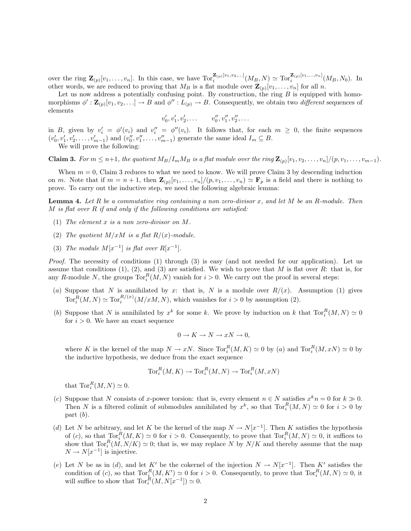over the ring  $\mathbf{Z}_{(p)}[v_1,\ldots,v_n]$ . In this case, we have  $\text{Tor}_{i}^{\mathbf{Z}_{(p)}[v_1,v_2,\ldots]}(M_B,N) \simeq \text{Tor}_{i}^{\mathbf{Z}_{(p)}[v_1,\ldots,v_n]}(M_B,N_0)$ . In other words, we are reduced to proving that  $M_B$  is a flat module over  $\mathbf{Z}_{(p)}[v_1,\ldots,v_n]$  for all n.

Let us now address a potentially confusing point. By construction, the ring  $B$  is equipped with homomorphisms  $\phi': \mathbf{Z}_{(p)}[v_1, v_2, \ldots] \to B$  and  $\phi'': L_{(p)} \to B$ . Consequently, we obtain two *different* sequences of elements

$$
v'_0, v'_1, v'_2, \ldots \qquad v''_0, v''_1, v''_2, \ldots
$$

in B, given by  $v_i' = \phi'(v_i)$  and  $v_i'' = \phi''(v_i)$ . It follows that, for each  $m \geq 0$ , the finite sequences  $(v'_0, v'_1, v'_2, \ldots, v'_{m-1})$  and  $(v''_0, v''_1, \ldots, v''_{m-1})$  generate the same ideal  $I_m \subseteq B$ .

We will prove the following:

**Claim 3.** For  $m \leq n+1$ , the quotient  $M_B/I_mM_B$  is a flat module over the ring  $\mathbf{Z}_{(p)}[v_1, v_2, \ldots, v_n]/(p, v_1, \ldots, v_{m-1})$ .

When  $m = 0$ , Claim 3 reduces to what we need to know. We will prove Claim 3 by descending induction on m. Note that if  $m = n + 1$ , then  $\mathbf{Z}_{(p)}[v_1, \ldots, v_n]/(p, v_1, \ldots, v_n) \simeq \mathbf{F}_p$  is a field and there is nothing to prove. To carry out the inductive step, we need the following algebraic lemma:

**Lemma 4.** Let R be a commutative ring containing a non zero-divisor x, and let M be an R-module. Then  $M$  is flat over  $R$  if and only if the following conditions are satisfied:

- (1) The element x is a non zero-divisor on M.
- (2) The quotient  $M/xM$  is a flat  $R/(x)$ -module.
- (3) The module  $M[x^{-1}]$  is flat over  $R[x^{-1}]$ .

Proof. The necessity of conditions (1) through (3) is easy (and not needed for our application). Let us assume that conditions (1), (2), and (3) are satisfied. We wish to prove that M is flat over R: that is, for any R-module N, the groups  $\text{Tor}_{i}^{R}(M, N)$  vanish for  $i > 0$ . We carry out the proof in several steps:

- (a) Suppose that N is annihilated by x: that is, N is a module over  $R/(x)$ . Assumption (1) gives  $\text{Tor}_{i}^{R}(M,N) \simeq \text{Tor}_{i}^{R/(x)}(M/xM,N)$ , which vanishes for  $i > 0$  by assumption (2).
- (b) Suppose that N is annihilated by  $x^k$  for some k. We prove by induction on k that  $\text{Tor}_i^R(M, N) \simeq 0$ for  $i > 0$ . We have an exact sequence

$$
0 \to K \to N \to xN \to 0,
$$

where K is the kernel of the map  $N \to xN$ . Since  $\text{Tor}_i^R(M, K) \simeq 0$  by (a) and  $\text{Tor}_i^R(M, xN) \simeq 0$  by the inductive hypothesis, we deduce from the exact sequence

$$
\operatorname{Tor}^R_i(M,K) \to \operatorname{Tor}^R_i(M,N) \to \operatorname{Tor}^R_i(M,xN)
$$

that  $\operatorname{Tor}_i^R(M,N) \simeq 0$ .

- (c) Suppose that N consists of x-power torsion: that is, every element  $n \in N$  satisfies  $x^k n = 0$  for  $k \gg 0$ . Then N is a filtered colimit of submodules annihilated by  $x^k$ , so that  $\text{Tor}_i^R(M, N) \simeq 0$  for  $i > 0$  by part  $(b)$ .
- (d) Let N be arbitrary, and let K be the kernel of the map  $N \to N[x^{-1}]$ . Then K satisfies the hypothesis of (c), so that  $\operatorname{Tor}_i^R(M,K) \simeq 0$  for  $i > 0$ . Consequently, to prove that  $\operatorname{Tor}_i^R(M,N) \simeq 0$ , it suffices to show that  $\text{Tor}_{i}^{R}(M, N/K) \simeq 0$ ; that is, we may replace N by  $N/K$  and thereby assume that the map  $N \to N[x^{-1}]$  is injective.
- (e) Let N be as in (d), and let K' be the cokernel of the injection  $N \to N[x^{-1}]$ . Then K' satisfies the condition of (c), so that  $\text{Tor}_{\underline{i}}^R(M, K') \simeq 0$  for  $i > 0$ . Consequently, to prove that  $\text{Tor}_{\underline{i}}^R(M, N) \simeq 0$ , it will suffice to show that  $\text{Tor}_i^R(M, N[x^{-1}]) \simeq 0$ .